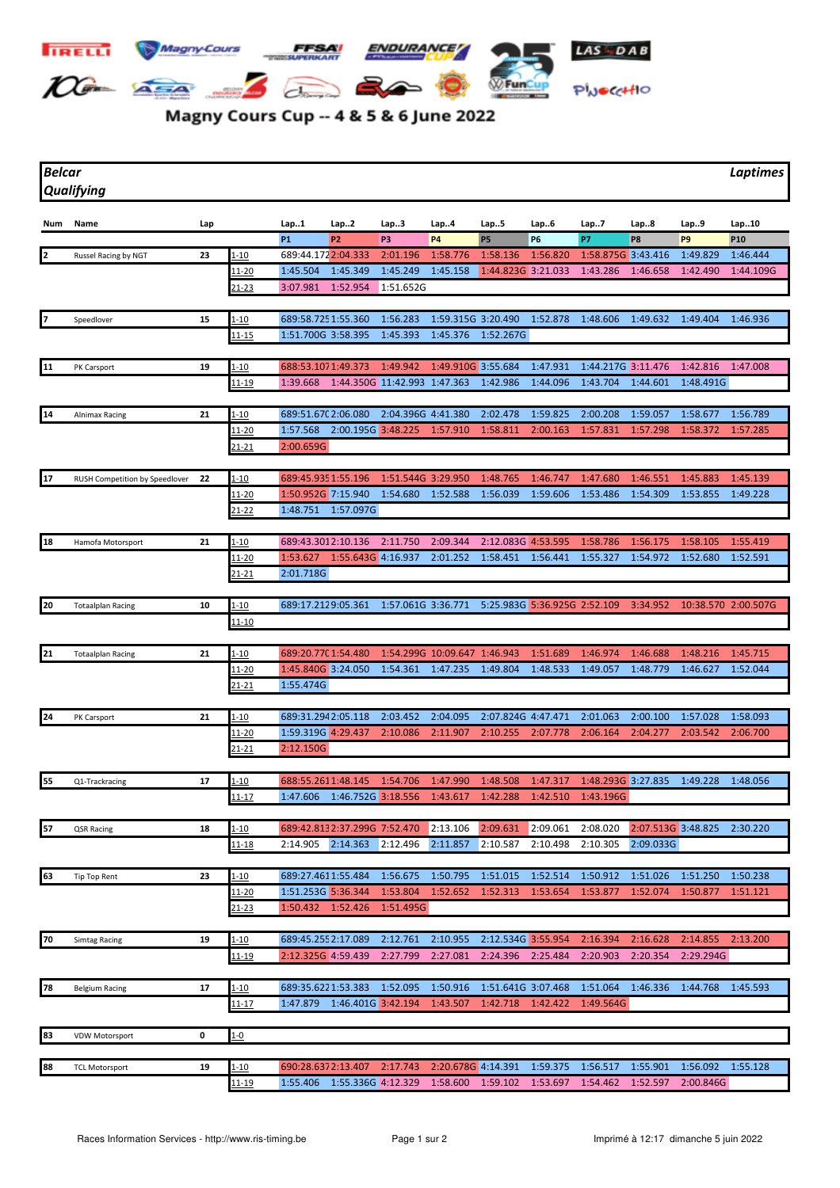

## Magny Cours Cup -- 4 & 5 & 6 June 2022

*Belcar Laptimes Qualifying*

|                 | Num Name                       | Lap |                   | Lap1                           | Lap2                            | Lap3                                     | Lap4                         | Lap5                 | Lap6                         | Lap7                                                                     | Lap8               | Lap9                  | Lap10               |
|-----------------|--------------------------------|-----|-------------------|--------------------------------|---------------------------------|------------------------------------------|------------------------------|----------------------|------------------------------|--------------------------------------------------------------------------|--------------------|-----------------------|---------------------|
|                 |                                |     |                   | <b>P1</b>                      | P <sub>2</sub>                  | P3                                       | <b>P4</b>                    | <b>P5</b>            | P6                           | P7                                                                       | P8                 | P <sub>9</sub>        | P <sub>10</sub>     |
| 2               | Russel Racing by NGT           | 23  | $1 - 10$          | 689:44.1722:04.333             |                                 | 2:01.196                                 | 1:58.776                     | 1:58.136             | 1:56.820                     | 1:58.875G 3:43.416                                                       |                    | 1:49.829              | 1:46.444            |
|                 |                                |     | <u> 11-20</u>     | 1:45.504                       | 1:45.349                        | 1:45.249                                 | 1:45.158                     | 1:44.823G 3:21.033   |                              | 1:43.286                                                                 | 1:46.658           | 1:42.490              | 1:44.109G           |
|                 |                                |     | <u>21-23</u>      | 3:07.981                       | 1:52.954                        | 1:51.652G                                |                              |                      |                              |                                                                          |                    |                       |                     |
|                 |                                |     |                   |                                |                                 |                                          |                              |                      |                              |                                                                          |                    |                       |                     |
| 7               | Speedlover                     | 15  | $1 - 10$          | 689:58.7251:55.360             |                                 | 1:56.283                                 | 1:59.315G 3:20.490           |                      | 1:52.878                     | 1:48.606                                                                 | 1:49.632           | 1:49.404              | 1:46.936            |
|                 |                                |     | <u> 11-15</u>     | 1:51.700G 3:58.395             |                                 | 1:45.393                                 | 1:45.376                     | 1:52.267G            |                              |                                                                          |                    |                       |                     |
|                 |                                |     |                   |                                |                                 |                                          |                              |                      |                              |                                                                          |                    |                       |                     |
| $\overline{11}$ | PK Carsport                    | 19  | $1 - 10$          | 688:53.1071:49.373<br>1:39.668 |                                 | 1:49.942<br>1:44.350G 11:42.993 1:47.363 | 1:49.910G 3:55.684           | 1:42.986             | 1:47.931<br>1:44.096         | 1:44.217G 3:11.476<br>1:43.704                                           | 1:44.601           | 1:42.816<br>1:48.491G | 1:47.008            |
|                 |                                |     | <u>11-19</u>      |                                |                                 |                                          |                              |                      |                              |                                                                          |                    |                       |                     |
| 14              | Alnimax Racing                 | 21  | 1-10              | 689:51.670 2:06.080            |                                 | 2:04.396G 4:41.380                       |                              | 2:02.478             | 1:59.825                     | 2:00.208                                                                 | 1:59.057           | 1:58.677              | 1:56.789            |
|                 |                                |     | <u> 11-20</u>     | 1:57.568                       | 2:00.195G 3:48.225              |                                          | 1:57.910                     | 1:58.811             | 2:00.163                     | 1:57.831                                                                 | 1:57.298           | 1:58.372              | 1:57.285            |
|                 |                                |     | $21 - 21$         | 2:00.659G                      |                                 |                                          |                              |                      |                              |                                                                          |                    |                       |                     |
|                 |                                |     |                   |                                |                                 |                                          |                              |                      |                              |                                                                          |                    |                       |                     |
| 17              | RUSH Competition by Speedlover | 22  | $1 - 10$          | 689:45.935 1:55.196            |                                 | 1:51.544G 3:29.950                       |                              | 1:48.765             | 1:46.747                     | 1:47.680                                                                 | 1:46.551           | 1:45.883              | 1:45.139            |
|                 |                                |     | $11 - 20$         | 1:50.952G 7:15.940             |                                 | 1:54.680                                 | 1:52.588                     | 1:56.039             | 1:59.606                     | 1:53.486                                                                 | 1:54.309           | 1:53.855              | 1:49.228            |
|                 |                                |     | 21-22             |                                | 1:48.751 1:57.097G              |                                          |                              |                      |                              |                                                                          |                    |                       |                     |
|                 |                                |     |                   |                                |                                 |                                          |                              |                      |                              |                                                                          |                    |                       |                     |
| 18              | Hamofa Motorsport              | 21  | 1-10              | 689:43.3012:10.136             |                                 | 2:11.750                                 | 2:09.344                     | 2:12.083G 4:53.595   |                              | 1:58.786                                                                 | 1:56.175           | 1:58.105              | 1:55.419            |
|                 |                                |     | 11-20             | 1:53.627                       | 1:55.643G 4:16.937              |                                          | 2:01.252                     | 1:58.451             | 1:56.441                     | 1:55.327                                                                 | 1:54.972           | 1:52.680              | 1:52.591            |
|                 |                                |     | 21-21             | 2:01.718G                      |                                 |                                          |                              |                      |                              |                                                                          |                    |                       |                     |
| 20              | <b>Totaalplan Racing</b>       | 10  | $1 - 10$          | 689:17.2129:05.361             |                                 | 1:57.061G 3:36.771                       |                              |                      | 5:25.983G 5:36.925G 2:52.109 |                                                                          | 3:34.952           |                       | 10:38.570 2:00.507G |
|                 |                                |     | 11-10             |                                |                                 |                                          |                              |                      |                              |                                                                          |                    |                       |                     |
|                 |                                |     |                   |                                |                                 |                                          |                              |                      |                              |                                                                          |                    |                       |                     |
| 21              | <b>Totaalplan Racing</b>       | 21  | $1 - 10$          | 689:20.770 1:54.480            |                                 |                                          | 1:54.299G 10:09.647 1:46.943 |                      | 1:51.689                     | 1:46.974                                                                 | 1:46.688           | 1:48.216              | 1:45.715            |
|                 |                                |     | <u> 11-20</u>     | 1:45.840G 3:24.050             |                                 | 1:54.361                                 | 1:47.235                     | 1:49.804             | 1:48.533                     | 1:49.057                                                                 | 1:48.779           | 1:46.627              | 1:52.044            |
|                 |                                |     | $21 - 21$         | 1:55.474G                      |                                 |                                          |                              |                      |                              |                                                                          |                    |                       |                     |
|                 |                                |     |                   |                                |                                 |                                          |                              |                      |                              |                                                                          |                    |                       |                     |
| 24              | PK Carsport                    | 21  | $1 - 10$          | 689:31.2942:05.118             |                                 | 2:03.452                                 | 2:04.095                     | 2:07.824G 4:47.471   |                              | 2:01.063                                                                 | 2:00.100           | 1:57.028              | 1:58.093            |
|                 |                                |     | 11-20             | 1:59.319G 4:29.437             |                                 | 2:10.086                                 | 2:11.907                     | 2:10.255             | 2:07.778                     | 2:06.164                                                                 | 2:04.277           | 2:03.542              | 2:06.700            |
|                 |                                |     | $21 - 21$         | 2:12.150G                      |                                 |                                          |                              |                      |                              |                                                                          |                    |                       |                     |
| 55              |                                | 17  |                   |                                | 688:55.2611:48.145 1:54.706     |                                          |                              |                      | 1:47.317                     | 1:48.293G 3:27.835                                                       |                    | 1:49.228              | 1:48.056            |
|                 | Q1-Trackracing                 |     | $1 - 10$<br>11-17 |                                | 1:47.606  1:46.752G  3:18.556   |                                          | 1:47.990<br>1:43.617         | 1:48.508<br>1:42.288 | 1:42.510                     | 1:43.196G                                                                |                    |                       |                     |
|                 |                                |     |                   |                                |                                 |                                          |                              |                      |                              |                                                                          |                    |                       |                     |
| 57              | QSR Racing                     | 18  | $1 - 10$          |                                | 689:42.8132:37.299G 7:52.470    |                                          | 2:13.106                     | 2:09.631             | 2:09.061                     | 2:08.020                                                                 | 2:07.513G 3:48.825 |                       | 2:30.220            |
|                 |                                |     | $11 - 18$         |                                |                                 |                                          |                              |                      |                              | 2:14.905 2:14.363 2:12.496 2:11.857 2:10.587 2:10.498 2:10.305 2:09.033G |                    |                       |                     |
|                 |                                |     |                   |                                |                                 |                                          |                              |                      |                              |                                                                          |                    |                       |                     |
| 63              | <b>Tip Top Rent</b>            | 23  | $1 - 10$          | 689:27.4611:55.484             |                                 | 1:56.675                                 | 1:50.795                     | 1:51.015             | 1:52.514                     | 1:50.912                                                                 | 1:51.026           | 1:51.250              | 1:50.238            |
|                 |                                |     | 11-20             | 1:51.253G 5:36.344             |                                 | 1:53.804                                 | 1:52.652                     | 1:52.313             | 1:53.654                     | 1:53.877                                                                 | 1:52.074           | 1:50.877              | 1:51.121            |
|                 |                                |     | 21-23             | 1:50.432 1:52.426              |                                 | 1:51.495G                                |                              |                      |                              |                                                                          |                    |                       |                     |
|                 |                                |     |                   |                                |                                 |                                          |                              |                      |                              |                                                                          |                    |                       |                     |
| 70              | <b>Simtag Racing</b>           | 19  | 1-10              | 689:45.2552:17.089             |                                 | 2:12.761                                 | 2:10.955                     | 2:12.534G 3:55.954   |                              | 2:16.394                                                                 | 2:16.628           | 2:14.855              | 2:13.200            |
|                 |                                |     | 11-19             | 2:12.325G 4:59.439             |                                 | 2:27.799                                 | 2:27.081                     | 2:24.396             | 2:25.484                     | 2:20.903                                                                 | 2:20.354           | 2:29.294G             |                     |
|                 |                                |     |                   |                                |                                 |                                          |                              |                      |                              |                                                                          |                    |                       |                     |
| 78              | <b>Belgium Racing</b>          | 17  | $1 - 10$          | 689:35.6221:53.383             |                                 | 1:52.095                                 | 1:50.916<br>1:43.507         | 1:51.641G 3:07.468   |                              | 1:51.064                                                                 | 1:46.336           | 1:44.768              | 1:45.593            |
|                 |                                |     | <u>11-17</u>      |                                | 1:47.879   1:46.401G   3:42.194 |                                          |                              | 1:42.718             | 1:42.422                     | 1:49.564G                                                                |                    |                       |                     |
| 83              | <b>VDW Motorsport</b>          | 0   | $1-0$             |                                |                                 |                                          |                              |                      |                              |                                                                          |                    |                       |                     |
|                 |                                |     |                   |                                |                                 |                                          |                              |                      |                              |                                                                          |                    |                       |                     |
| 88              | <b>TCL Motorsport</b>          | 19  | <u>1-10</u>       |                                | 690:28.6372:13.407              | 2:17.743                                 | 2:20.678G 4:14.391           |                      | 1:59.375                     | 1:56.517                                                                 | 1:55.901           | 1:56.092              | 1:55.128            |
|                 |                                |     | 11-19             |                                | 1:55.406  1:55.336G  4:12.329   |                                          | 1:58.600 1:59.102 1:53.697   |                      |                              | 1:54.462                                                                 | 1:52.597           | 2:00.846G             |                     |